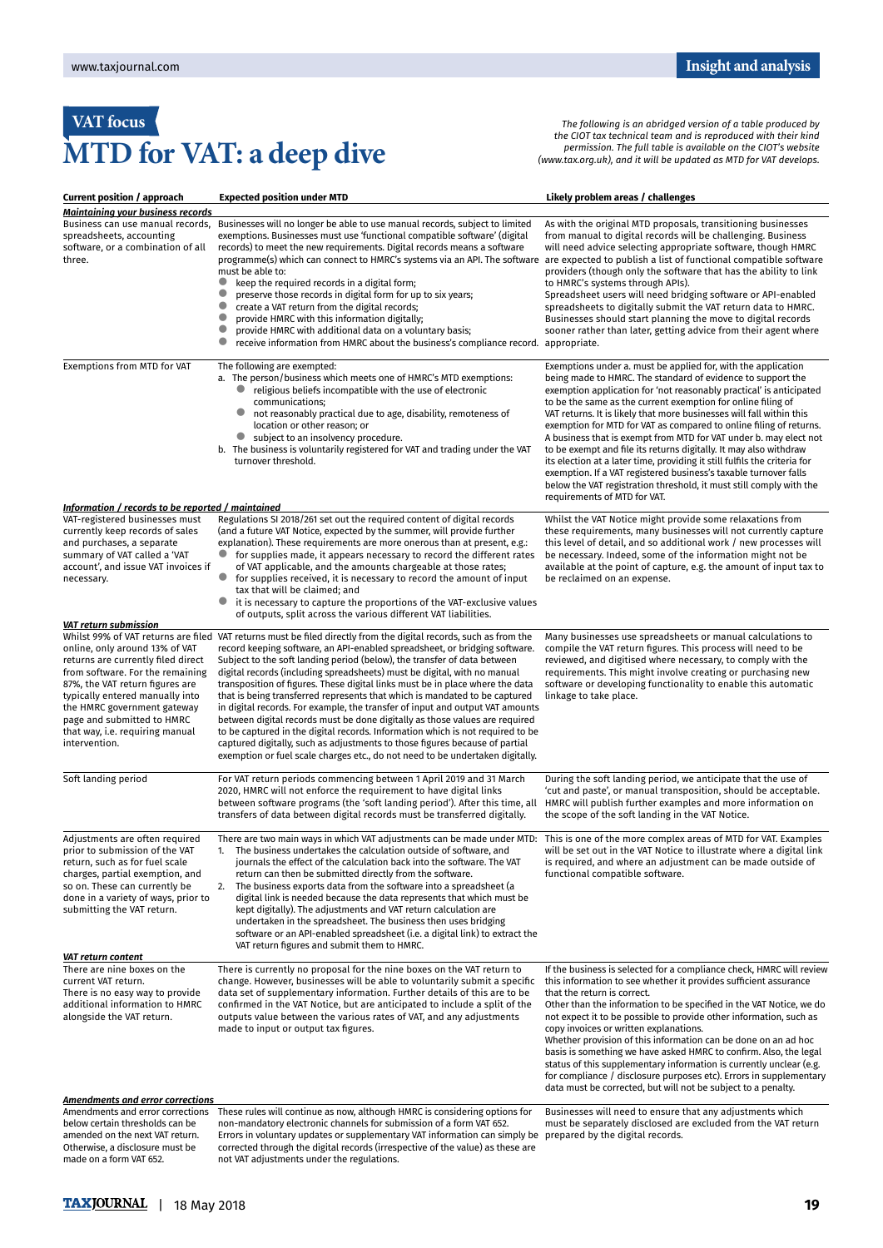## **VAT focus MTD for VAT: a deep dive**

*The following is an abridged version of a table produced by the CIOT tax technical team and is reproduced with their kind permission. The full table is available on the CIOT's website (www.tax.org.uk), and it will be updated as MTD for VAT develops.*

| <b>Current position / approach</b>                                                                                                                                                                                                                                                              | <b>Expected position under MTD</b>                                                                                                                                                                                                                                                                                                                                                                                                                                                                                                                                                                                                                                                                                                                                                                                                                                                                                                       | Likely problem areas / challenges                                                                                                                                                                                                                                                                                                                                                                                                                                                                                                                                                                                                                                                                                                                                                                                   |
|-------------------------------------------------------------------------------------------------------------------------------------------------------------------------------------------------------------------------------------------------------------------------------------------------|------------------------------------------------------------------------------------------------------------------------------------------------------------------------------------------------------------------------------------------------------------------------------------------------------------------------------------------------------------------------------------------------------------------------------------------------------------------------------------------------------------------------------------------------------------------------------------------------------------------------------------------------------------------------------------------------------------------------------------------------------------------------------------------------------------------------------------------------------------------------------------------------------------------------------------------|---------------------------------------------------------------------------------------------------------------------------------------------------------------------------------------------------------------------------------------------------------------------------------------------------------------------------------------------------------------------------------------------------------------------------------------------------------------------------------------------------------------------------------------------------------------------------------------------------------------------------------------------------------------------------------------------------------------------------------------------------------------------------------------------------------------------|
| <b>Maintaining your business records</b>                                                                                                                                                                                                                                                        |                                                                                                                                                                                                                                                                                                                                                                                                                                                                                                                                                                                                                                                                                                                                                                                                                                                                                                                                          |                                                                                                                                                                                                                                                                                                                                                                                                                                                                                                                                                                                                                                                                                                                                                                                                                     |
| Business can use manual records,<br>spreadsheets, accounting<br>software, or a combination of all<br>three.                                                                                                                                                                                     | Businesses will no longer be able to use manual records, subject to limited<br>exemptions. Businesses must use 'functional compatible software' (digital<br>records) to meet the new requirements. Digital records means a software<br>programme(s) which can connect to HMRC's systems via an API. The software<br>must be able to:<br>$\bullet$<br>keep the required records in a digital form;<br>0<br>preserve those records in digital form for up to six years;<br>create a VAT return from the digital records;<br>$\bullet$<br>provide HMRC with this information digitally;<br>0<br>provide HMRC with additional data on a voluntary basis;<br>receive information from HMRC about the business's compliance record. appropriate.                                                                                                                                                                                               | As with the original MTD proposals, transitioning businesses<br>from manual to digital records will be challenging. Business<br>will need advice selecting appropriate software, though HMRC<br>are expected to publish a list of functional compatible software<br>providers (though only the software that has the ability to link<br>to HMRC's systems through APIs).<br>Spreadsheet users will need bridging software or API-enabled<br>spreadsheets to digitally submit the VAT return data to HMRC.<br>Businesses should start planning the move to digital records<br>sooner rather than later, getting advice from their agent where                                                                                                                                                                        |
| Exemptions from MTD for VAT<br>Information / records to be reported / maintained                                                                                                                                                                                                                | The following are exempted:<br>a. The person/business which meets one of HMRC's MTD exemptions:<br>religious beliefs incompatible with the use of electronic<br>communications;<br>$\bullet$<br>not reasonably practical due to age, disability, remoteness of<br>location or other reason; or<br>$\bullet$<br>subject to an insolvency procedure.<br>b. The business is voluntarily registered for VAT and trading under the VAT<br>turnover threshold.                                                                                                                                                                                                                                                                                                                                                                                                                                                                                 | Exemptions under a. must be applied for, with the application<br>being made to HMRC. The standard of evidence to support the<br>exemption application for 'not reasonably practical' is anticipated<br>to be the same as the current exemption for online filing of<br>VAT returns. It is likely that more businesses will fall within this<br>exemption for MTD for VAT as compared to online filing of returns.<br>A business that is exempt from MTD for VAT under b. may elect not<br>to be exempt and file its returns digitally. It may also withdraw<br>its election at a later time, providing it still fulfils the criteria for<br>exemption. If a VAT registered business's taxable turnover falls<br>below the VAT registration threshold, it must still comply with the<br>requirements of MTD for VAT. |
| VAT-registered businesses must                                                                                                                                                                                                                                                                  | Regulations SI 2018/261 set out the required content of digital records                                                                                                                                                                                                                                                                                                                                                                                                                                                                                                                                                                                                                                                                                                                                                                                                                                                                  | Whilst the VAT Notice might provide some relaxations from                                                                                                                                                                                                                                                                                                                                                                                                                                                                                                                                                                                                                                                                                                                                                           |
| currently keep records of sales<br>and purchases, a separate<br>summary of VAT called a 'VAT<br>account', and issue VAT invoices if<br>necessary.                                                                                                                                               | (and a future VAT Notice, expected by the summer, will provide further<br>explanation). These requirements are more onerous than at present, e.g.:<br>for supplies made, it appears necessary to record the different rates<br>of VAT applicable, and the amounts chargeable at those rates;<br>$\bullet$<br>for supplies received, it is necessary to record the amount of input<br>tax that will be claimed; and<br>it is necessary to capture the proportions of the VAT-exclusive values<br>of outputs, split across the various different VAT liabilities.                                                                                                                                                                                                                                                                                                                                                                          | these requirements, many businesses will not currently capture<br>this level of detail, and so additional work / new processes will<br>be necessary. Indeed, some of the information might not be<br>available at the point of capture, e.g. the amount of input tax to<br>be reclaimed on an expense.                                                                                                                                                                                                                                                                                                                                                                                                                                                                                                              |
| VAT return submission                                                                                                                                                                                                                                                                           |                                                                                                                                                                                                                                                                                                                                                                                                                                                                                                                                                                                                                                                                                                                                                                                                                                                                                                                                          |                                                                                                                                                                                                                                                                                                                                                                                                                                                                                                                                                                                                                                                                                                                                                                                                                     |
| online, only around 13% of VAT<br>returns are currently filed direct<br>from software. For the remaining<br>87%, the VAT return figures are<br>typically entered manually into<br>the HMRC government gateway<br>page and submitted to HMRC<br>that way, i.e. requiring manual<br>intervention. | Whilst 99% of VAT returns are filed VAT returns must be filed directly from the digital records, such as from the<br>record keeping software, an API-enabled spreadsheet, or bridging software.<br>Subject to the soft landing period (below), the transfer of data between<br>digital records (including spreadsheets) must be digital, with no manual<br>transposition of figures. These digital links must be in place where the data<br>that is being transferred represents that which is mandated to be captured<br>in digital records. For example, the transfer of input and output VAT amounts<br>between digital records must be done digitally as those values are required<br>to be captured in the digital records. Information which is not required to be<br>captured digitally, such as adjustments to those figures because of partial<br>exemption or fuel scale charges etc., do not need to be undertaken digitally. | Many businesses use spreadsheets or manual calculations to<br>compile the VAT return figures. This process will need to be<br>reviewed, and digitised where necessary, to comply with the<br>requirements. This might involve creating or purchasing new<br>software or developing functionality to enable this automatic<br>linkage to take place.                                                                                                                                                                                                                                                                                                                                                                                                                                                                 |
| Soft landing period                                                                                                                                                                                                                                                                             | For VAT return periods commencing between 1 April 2019 and 31 March<br>2020, HMRC will not enforce the requirement to have digital links<br>between software programs (the 'soft landing period'). After this time, all<br>transfers of data between digital records must be transferred digitally.                                                                                                                                                                                                                                                                                                                                                                                                                                                                                                                                                                                                                                      | During the soft landing period, we anticipate that the use of<br>'cut and paste', or manual transposition, should be acceptable.<br>HMRC will publish further examples and more information on<br>the scope of the soft landing in the VAT Notice.                                                                                                                                                                                                                                                                                                                                                                                                                                                                                                                                                                  |
| Adjustments are often required<br>prior to submission of the VAT<br>return, such as for fuel scale<br>charges, partial exemption, and<br>so on. These can currently be<br>done in a variety of ways, prior to<br>submitting the VAT return.                                                     | There are two main ways in which VAT adjustments can be made under MTD: This is one of the more complex areas of MTD for VAT. Examples<br>1. The business undertakes the calculation outside of software, and<br>journals the effect of the calculation back into the software. The VAT<br>return can then be submitted directly from the software.<br>2. The business exports data from the software into a spreadsheet (a<br>digital link is needed because the data represents that which must be<br>kept digitally). The adjustments and VAT return calculation are<br>undertaken in the spreadsheet. The business then uses bridging<br>software or an API-enabled spreadsheet (i.e. a digital link) to extract the<br>VAT return figures and submit them to HMRC.                                                                                                                                                                  | will be set out in the VAT Notice to illustrate where a digital link<br>is required, and where an adjustment can be made outside of<br>functional compatible software.                                                                                                                                                                                                                                                                                                                                                                                                                                                                                                                                                                                                                                              |
| VAT return content                                                                                                                                                                                                                                                                              |                                                                                                                                                                                                                                                                                                                                                                                                                                                                                                                                                                                                                                                                                                                                                                                                                                                                                                                                          |                                                                                                                                                                                                                                                                                                                                                                                                                                                                                                                                                                                                                                                                                                                                                                                                                     |
| There are nine boxes on the<br>current VAT return.<br>There is no easy way to provide<br>additional information to HMRC<br>alongside the VAT return.                                                                                                                                            | There is currently no proposal for the nine boxes on the VAT return to<br>change. However, businesses will be able to voluntarily submit a specific<br>data set of supplementary information. Further details of this are to be<br>confirmed in the VAT Notice, but are anticipated to include a split of the<br>outputs value between the various rates of VAT, and any adjustments<br>made to input or output tax figures.                                                                                                                                                                                                                                                                                                                                                                                                                                                                                                             | If the business is selected for a compliance check, HMRC will review<br>this information to see whether it provides sufficient assurance<br>that the return is correct.<br>Other than the information to be specified in the VAT Notice, we do<br>not expect it to be possible to provide other information, such as<br>copy invoices or written explanations.<br>Whether provision of this information can be done on an ad hoc<br>basis is something we have asked HMRC to confirm. Also, the legal<br>status of this supplementary information is currently unclear (e.g.<br>for compliance / disclosure purposes etc). Errors in supplementary<br>data must be corrected, but will not be subject to a penalty.                                                                                                 |
| <b>Amendments and error corrections</b><br>Amendments and error corrections                                                                                                                                                                                                                     | These rules will continue as now, although HMRC is considering options for                                                                                                                                                                                                                                                                                                                                                                                                                                                                                                                                                                                                                                                                                                                                                                                                                                                               | Businesses will need to ensure that any adjustments which                                                                                                                                                                                                                                                                                                                                                                                                                                                                                                                                                                                                                                                                                                                                                           |
| below certain thresholds can be<br>amended on the next VAT return.<br>Otherwise, a disclosure must be<br>made on a form VAT 652.                                                                                                                                                                | non-mandatory electronic channels for submission of a form VAT 652.<br>Errors in voluntary updates or supplementary VAT information can simply be prepared by the digital records.<br>corrected through the digital records (irrespective of the value) as these are<br>not VAT adjustments under the regulations.                                                                                                                                                                                                                                                                                                                                                                                                                                                                                                                                                                                                                       | must be separately disclosed are excluded from the VAT return                                                                                                                                                                                                                                                                                                                                                                                                                                                                                                                                                                                                                                                                                                                                                       |